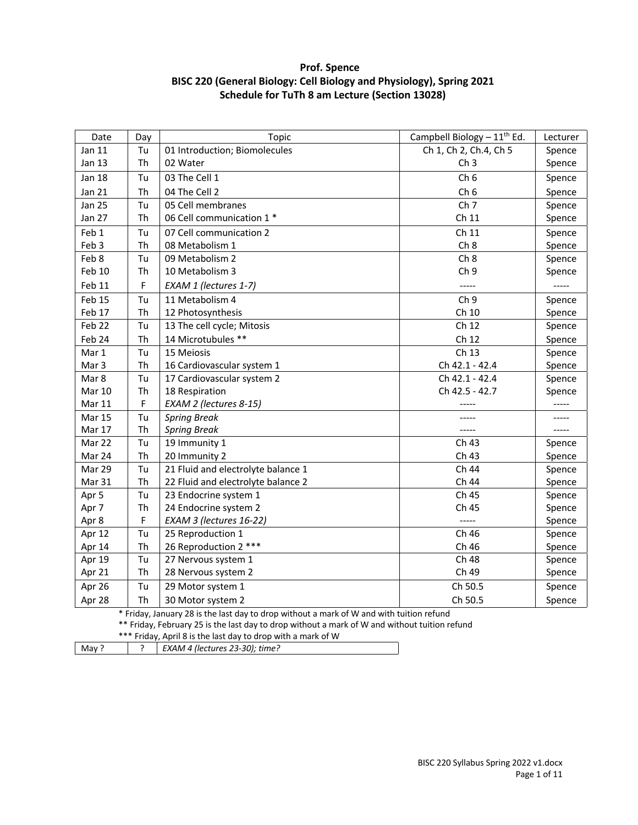# **Prof. Spence BISC 220 (General Biology: Cell Biology and Physiology), Spring 2021 Schedule for TuTh 8 am Lecture (Section 13028)**

| Date                                                                                          | Day                                                                                      | Topic                              | Campbell Biology $-11^{th}$ Ed. | Lecturer |  |
|-----------------------------------------------------------------------------------------------|------------------------------------------------------------------------------------------|------------------------------------|---------------------------------|----------|--|
| Jan 11                                                                                        | Tu                                                                                       | 01 Introduction; Biomolecules      | Ch 1, Ch 2, Ch.4, Ch 5          | Spence   |  |
| Jan 13                                                                                        | Th                                                                                       | 02 Water                           | Ch <sub>3</sub>                 | Spence   |  |
| <b>Jan 18</b>                                                                                 | Tu                                                                                       | 03 The Cell 1                      | Ch <sub>6</sub>                 | Spence   |  |
| <b>Jan 21</b>                                                                                 | Th                                                                                       | 04 The Cell 2                      | Ch <sub>6</sub>                 | Spence   |  |
| <b>Jan 25</b>                                                                                 | Tu                                                                                       | 05 Cell membranes                  | Ch <sub>7</sub>                 | Spence   |  |
| <b>Jan 27</b>                                                                                 | Th                                                                                       | 06 Cell communication 1 *          | Ch 11                           | Spence   |  |
| Feb 1                                                                                         | Tu                                                                                       | 07 Cell communication 2            | Ch 11                           | Spence   |  |
| Feb 3                                                                                         | Th                                                                                       | 08 Metabolism 1                    | Ch <sub>8</sub>                 | Spence   |  |
| Feb 8                                                                                         | Tu                                                                                       | 09 Metabolism 2                    | Ch 8                            | Spence   |  |
| Feb 10                                                                                        | Th                                                                                       | 10 Metabolism 3                    | Ch <sub>9</sub>                 | Spence   |  |
| Feb 11                                                                                        | F                                                                                        | EXAM 1 (lectures 1-7)              | -----                           |          |  |
| Feb 15                                                                                        | Tu                                                                                       | 11 Metabolism 4                    | Ch <sub>9</sub>                 | Spence   |  |
| Feb 17                                                                                        | Th                                                                                       | 12 Photosynthesis                  | Ch 10                           | Spence   |  |
| Feb 22                                                                                        | Tu                                                                                       | 13 The cell cycle; Mitosis         | Ch 12                           | Spence   |  |
| Feb 24                                                                                        | Th                                                                                       | 14 Microtubules **                 | Ch 12                           | Spence   |  |
| Mar 1                                                                                         | Tu                                                                                       | 15 Meiosis                         | Ch 13                           | Spence   |  |
| Mar 3                                                                                         | Th                                                                                       | 16 Cardiovascular system 1         | Ch 42.1 - 42.4                  | Spence   |  |
| Mar 8                                                                                         | Tu                                                                                       | 17 Cardiovascular system 2         | Ch 42.1 - 42.4                  | Spence   |  |
| <b>Mar 10</b>                                                                                 | Th                                                                                       | 18 Respiration                     | Ch 42.5 - 42.7                  | Spence   |  |
| Mar 11                                                                                        | F                                                                                        | EXAM 2 (lectures 8-15)             |                                 |          |  |
| <b>Mar 15</b>                                                                                 | Tu                                                                                       | <b>Spring Break</b>                |                                 |          |  |
| Mar 17                                                                                        | Th                                                                                       | <b>Spring Break</b>                |                                 | -----    |  |
| Mar 22                                                                                        | Tu                                                                                       | 19 Immunity 1                      | Ch 43                           | Spence   |  |
| Mar 24                                                                                        | Th                                                                                       | 20 Immunity 2                      | Ch 43                           | Spence   |  |
| Mar 29                                                                                        | Tu                                                                                       | 21 Fluid and electrolyte balance 1 | Ch 44                           | Spence   |  |
| Mar 31                                                                                        | Th                                                                                       | 22 Fluid and electrolyte balance 2 | Ch 44                           | Spence   |  |
| Apr 5                                                                                         | Tu                                                                                       | 23 Endocrine system 1              | Ch 45                           | Spence   |  |
| Apr 7                                                                                         | Th                                                                                       | 24 Endocrine system 2              | Ch 45                           | Spence   |  |
| Apr 8                                                                                         | F                                                                                        | EXAM 3 (lectures 16-22)            | $-----$                         | Spence   |  |
| Apr 12                                                                                        | Tu                                                                                       | 25 Reproduction 1                  | Ch 46                           | Spence   |  |
| Apr 14                                                                                        | Th                                                                                       | 26 Reproduction 2 ***              | Ch 46                           | Spence   |  |
| Apr 19                                                                                        | Tu                                                                                       | 27 Nervous system 1                | Ch 48                           | Spence   |  |
| Apr 21                                                                                        | Th                                                                                       | 28 Nervous system 2                | Ch 49                           | Spence   |  |
| Apr 26                                                                                        | Tu                                                                                       | 29 Motor system 1                  | Ch 50.5                         | Spence   |  |
| Apr 28                                                                                        | Th                                                                                       | 30 Motor system 2                  | Ch 50.5                         | Spence   |  |
|                                                                                               | * Friday, January 28 is the last day to drop without a mark of W and with tuition refund |                                    |                                 |          |  |
| ** Friday, February 25 is the last day to drop without a mark of W and without tuition refund |                                                                                          |                                    |                                 |          |  |

\*\*\* Friday, April 8 is the last day to drop with a mark of W

| May ? | $\mid$ EXAM 4 (lectures 23-30); time? |
|-------|---------------------------------------|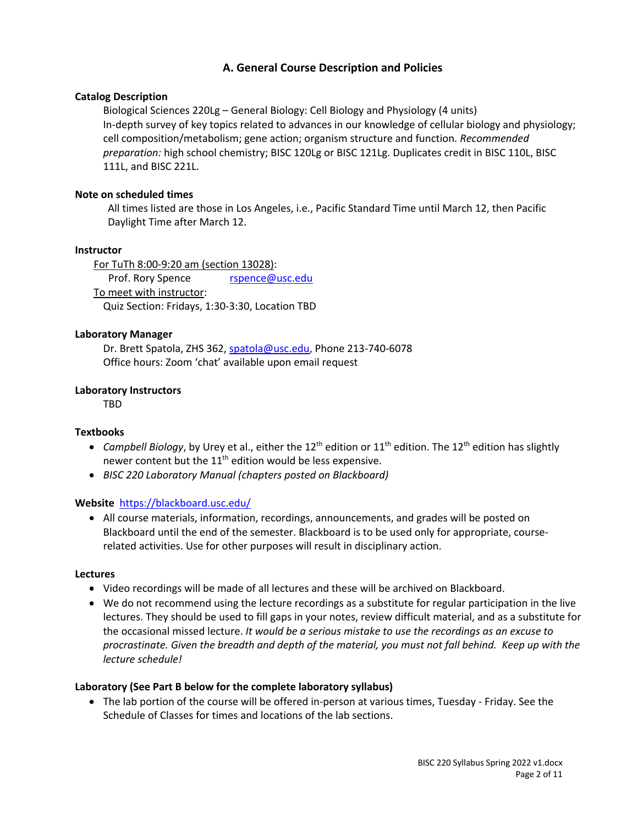# **A. General Course Description and Policies**

# **Catalog Description**

Biological Sciences 220Lg – General Biology: Cell Biology and Physiology (4 units) In-depth survey of key topics related to advances in our knowledge of cellular biology and physiology; cell composition/metabolism; gene action; organism structure and function. *Recommended preparation:* high school chemistry; BISC 120Lg or BISC 121Lg. Duplicates credit in BISC 110L, BISC 111L, and BISC 221L.

### **Note on scheduled times**

All times listed are those in Los Angeles, i.e., Pacific Standard Time until March 12, then Pacific Daylight Time after March 12.

### **Instructor**

For TuTh 8:00-9:20 am (section 13028): Prof. Rory Spence rspence@usc.edu To meet with instructor: Quiz Section: Fridays, 1:30-3:30, Location TBD

### **Laboratory Manager**

Dr. Brett Spatola, ZHS 362, spatola@usc.edu, Phone 213-740-6078 Office hours: Zoom 'chat' available upon email request

### **Laboratory Instructors**

TBD

#### **Textbooks**

- *Campbell Biology*, by Urey et al., either the 12<sup>th</sup> edition or 11<sup>th</sup> edition. The 12<sup>th</sup> edition has slightly newer content but the  $11<sup>th</sup>$  edition would be less expensive.
- *BISC 220 Laboratory Manual (chapters posted on Blackboard)*

#### **Website** https://blackboard.usc.edu/

• All course materials, information, recordings, announcements, and grades will be posted on Blackboard until the end of the semester. Blackboard is to be used only for appropriate, courserelated activities. Use for other purposes will result in disciplinary action.

#### **Lectures**

- Video recordings will be made of all lectures and these will be archived on Blackboard.
- We do not recommend using the lecture recordings as a substitute for regular participation in the live lectures. They should be used to fill gaps in your notes, review difficult material, and as a substitute for the occasional missed lecture. *It would be a serious mistake to use the recordings as an excuse to procrastinate. Given the breadth and depth of the material, you must not fall behind. Keep up with the lecture schedule!*

#### **Laboratory (See Part B below for the complete laboratory syllabus)**

• The lab portion of the course will be offered in-person at various times, Tuesday - Friday. See the Schedule of Classes for times and locations of the lab sections.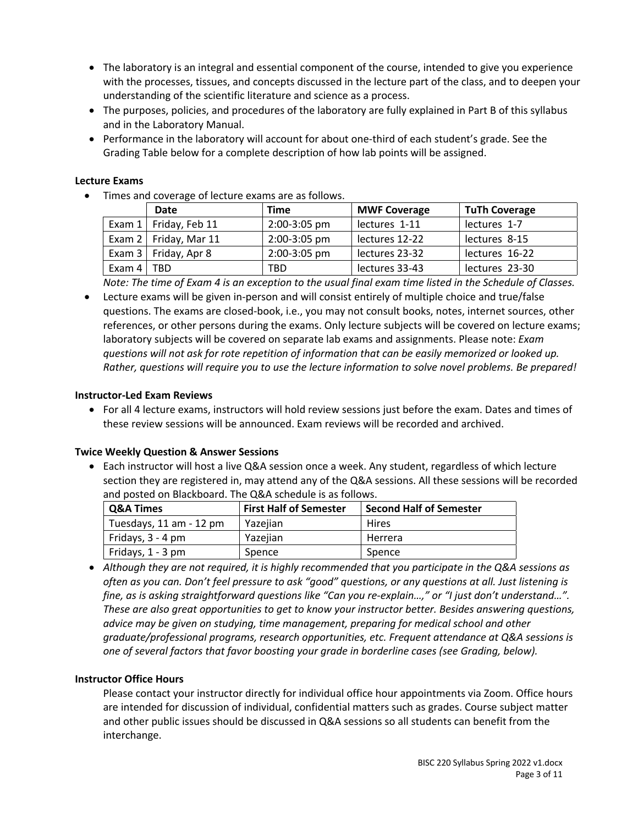- The laboratory is an integral and essential component of the course, intended to give you experience with the processes, tissues, and concepts discussed in the lecture part of the class, and to deepen your understanding of the scientific literature and science as a process.
- The purposes, policies, and procedures of the laboratory are fully explained in Part B of this syllabus and in the Laboratory Manual.
- Performance in the laboratory will account for about one-third of each student's grade. See the Grading Table below for a complete description of how lab points will be assigned.

# **Lecture Exams**

• Times and coverage of lecture exams are as follows.

|                | Date                         | <b>Time</b>  | <b>MWF Coverage</b> | <b>TuTh Coverage</b> |
|----------------|------------------------------|--------------|---------------------|----------------------|
|                | Exam $1 \mid$ Friday, Feb 11 | 2:00-3:05 pm | lectures 1-11       | lectures 1-7         |
|                | Exam $2 \mid$ Friday, Mar 11 | 2:00-3:05 pm | lectures 12-22      | lectures 8-15        |
|                | Exam 3   Friday, Apr 8       | 2:00-3:05 pm | lectures 23-32      | lectures 16-22       |
| Exam $4$   TBD |                              | TBD.         | lectures 33-43      | lectures 23-30       |

*Note: The time of Exam 4 is an exception to the usual final exam time listed in the Schedule of Classes.*

• Lecture exams will be given in-person and will consist entirely of multiple choice and true/false questions. The exams are closed-book, i.e., you may not consult books, notes, internet sources, other references, or other persons during the exams. Only lecture subjects will be covered on lecture exams; laboratory subjects will be covered on separate lab exams and assignments. Please note: *Exam questions will not ask for rote repetition of information that can be easily memorized or looked up. Rather, questions will require you to use the lecture information to solve novel problems. Be prepared!*

# **Instructor-Led Exam Reviews**

• For all 4 lecture exams, instructors will hold review sessions just before the exam. Dates and times of these review sessions will be announced. Exam reviews will be recorded and archived.

# **Twice Weekly Question & Answer Sessions**

• Each instructor will host a live Q&A session once a week. Any student, regardless of which lecture section they are registered in, may attend any of the Q&A sessions. All these sessions will be recorded and posted on Blackboard. The Q&A schedule is as follows.

| <b>Q&amp;A Times</b>    | <b>First Half of Semester</b> | <b>Second Half of Semester</b> |
|-------------------------|-------------------------------|--------------------------------|
| Tuesdays, 11 am - 12 pm | Yazeijan                      | Hires                          |
| Fridays, 3 - 4 pm       | Yazeijan                      | Herrera                        |
| Fridays, 1 - 3 pm       | Spence                        | Spence                         |

• *Although they are not required, it is highly recommended that you participate in the Q&A sessions as often as you can. Don't feel pressure to ask "good" questions, or any questions at all. Just listening is fine, as is asking straightforward questions like "Can you re-explain…," or "I just don't understand…". These are also great opportunities to get to know your instructor better. Besides answering questions, advice may be given on studying, time management, preparing for medical school and other graduate/professional programs, research opportunities, etc. Frequent attendance at Q&A sessions is one of several factors that favor boosting your grade in borderline cases (see Grading, below).*

# **Instructor Office Hours**

Please contact your instructor directly for individual office hour appointments via Zoom. Office hours are intended for discussion of individual, confidential matters such as grades. Course subject matter and other public issues should be discussed in Q&A sessions so all students can benefit from the interchange.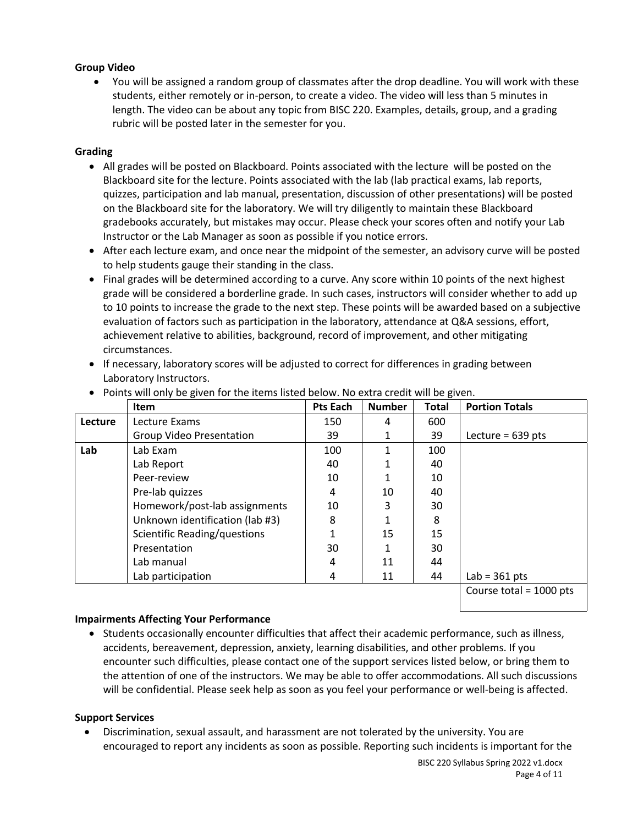# **Group Video**

• You will be assigned a random group of classmates after the drop deadline. You will work with these students, either remotely or in-person, to create a video. The video will less than 5 minutes in length. The video can be about any topic from BISC 220. Examples, details, group, and a grading rubric will be posted later in the semester for you.

# **Grading**

- All grades will be posted on Blackboard. Points associated with the lecture will be posted on the Blackboard site for the lecture. Points associated with the lab (lab practical exams, lab reports, quizzes, participation and lab manual, presentation, discussion of other presentations) will be posted on the Blackboard site for the laboratory. We will try diligently to maintain these Blackboard gradebooks accurately, but mistakes may occur. Please check your scores often and notify your Lab Instructor or the Lab Manager as soon as possible if you notice errors.
- After each lecture exam, and once near the midpoint of the semester, an advisory curve will be posted to help students gauge their standing in the class.
- Final grades will be determined according to a curve. Any score within 10 points of the next highest grade will be considered a borderline grade. In such cases, instructors will consider whether to add up to 10 points to increase the grade to the next step. These points will be awarded based on a subjective evaluation of factors such as participation in the laboratory, attendance at Q&A sessions, effort, achievement relative to abilities, background, record of improvement, and other mitigating circumstances.
- If necessary, laboratory scores will be adjusted to correct for differences in grading between Laboratory Instructors.

|         | <b>Item</b>                         | Pts Each | <b>Number</b> | <b>Total</b> | <b>Portion Totals</b>     |
|---------|-------------------------------------|----------|---------------|--------------|---------------------------|
| Lecture | Lecture Exams                       | 150      | 4             | 600          |                           |
|         | <b>Group Video Presentation</b>     | 39       |               | 39           | Lecture = $639$ pts       |
| Lab     | Lab Exam                            | 100      |               | 100          |                           |
|         | Lab Report                          | 40       |               | 40           |                           |
|         | Peer-review                         | 10       |               | 10           |                           |
|         | Pre-lab quizzes                     | 4        | 10            | 40           |                           |
|         | Homework/post-lab assignments       | 10       | 3             | 30           |                           |
|         | Unknown identification (lab #3)     | 8        |               | 8            |                           |
|         | <b>Scientific Reading/questions</b> |          | 15            | 15           |                           |
|         | Presentation                        | 30       |               | 30           |                           |
|         | Lab manual                          | 4        | 11            | 44           |                           |
|         | Lab participation                   | 4        | 11            | 44           | Lab = $361$ pts           |
|         |                                     |          |               |              | Course total = $1000$ pts |

• Points will only be given for the items listed below. No extra credit will be given.

# **Impairments Affecting Your Performance**

• Students occasionally encounter difficulties that affect their academic performance, such as illness, accidents, bereavement, depression, anxiety, learning disabilities, and other problems. If you encounter such difficulties, please contact one of the support services listed below, or bring them to the attention of one of the instructors. We may be able to offer accommodations. All such discussions will be confidential. Please seek help as soon as you feel your performance or well-being is affected.

# **Support Services**

• Discrimination, sexual assault, and harassment are not tolerated by the university. You are encouraged to report any incidents as soon as possible. Reporting such incidents is important for the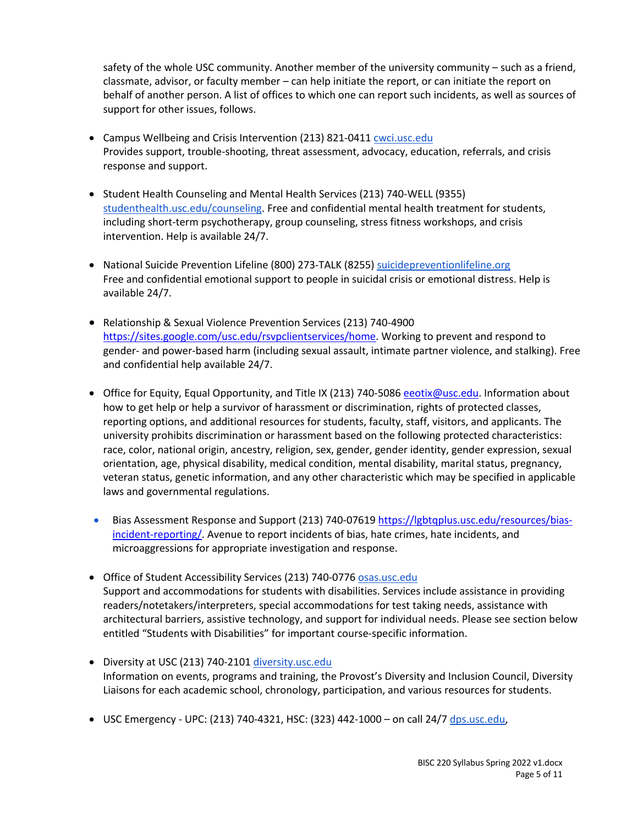safety of the whole USC community. Another member of the university community – such as a friend, classmate, advisor, or faculty member – can help initiate the report, or can initiate the report on behalf of another person. A list of offices to which one can report such incidents, as well as sources of support for other issues, follows.

- Campus Wellbeing and Crisis Intervention (213) 821-0411 cwci.usc.edu Provides support, trouble-shooting, threat assessment, advocacy, education, referrals, and crisis response and support.
- Student Health Counseling and Mental Health Services (213) 740-WELL (9355) studenthealth.usc.edu/counseling. Free and confidential mental health treatment for students, including short-term psychotherapy, group counseling, stress fitness workshops, and crisis intervention. Help is available 24/7.
- National Suicide Prevention Lifeline (800) 273-TALK (8255) suicidepreventionlifeline.org Free and confidential emotional support to people in suicidal crisis or emotional distress. Help is available 24/7.
- Relationship & Sexual Violence Prevention Services (213) 740-4900 https://sites.google.com/usc.edu/rsvpclientservices/home. Working to prevent and respond to gender- and power-based harm (including sexual assault, intimate partner violence, and stalking). Free and confidential help available 24/7.
- Office for Equity, Equal Opportunity, and Title IX (213) 740-5086 exablement ends. Information about how to get help or help a survivor of harassment or discrimination, rights of protected classes, reporting options, and additional resources for students, faculty, staff, visitors, and applicants. The university prohibits discrimination or harassment based on the following protected characteristics: race, color, national origin, ancestry, religion, sex, gender, gender identity, gender expression, sexual orientation, age, physical disability, medical condition, mental disability, marital status, pregnancy, veteran status, genetic information, and any other characteristic which may be specified in applicable laws and governmental regulations.
- Bias Assessment Response and Support (213) 740-07619 https://lgbtqplus.usc.edu/resources/biasincident-reporting/. Avenue to report incidents of bias, hate crimes, hate incidents, and microaggressions for appropriate investigation and response.
- Office of Student Accessibility Services (213) 740-0776 osas.usc.edu Support and accommodations for students with disabilities. Services include assistance in providing readers/notetakers/interpreters, special accommodations for test taking needs, assistance with architectural barriers, assistive technology, and support for individual needs. Please see section below entitled "Students with Disabilities" for important course-specific information.
- Diversity at USC (213) 740-2101 diversity.usc.edu Information on events, programs and training, the Provost's Diversity and Inclusion Council, Diversity Liaisons for each academic school, chronology, participation, and various resources for students.
- USC Emergency UPC: (213) 740-4321, HSC: (323) 442-1000 on call 24/7 dps.usc.edu,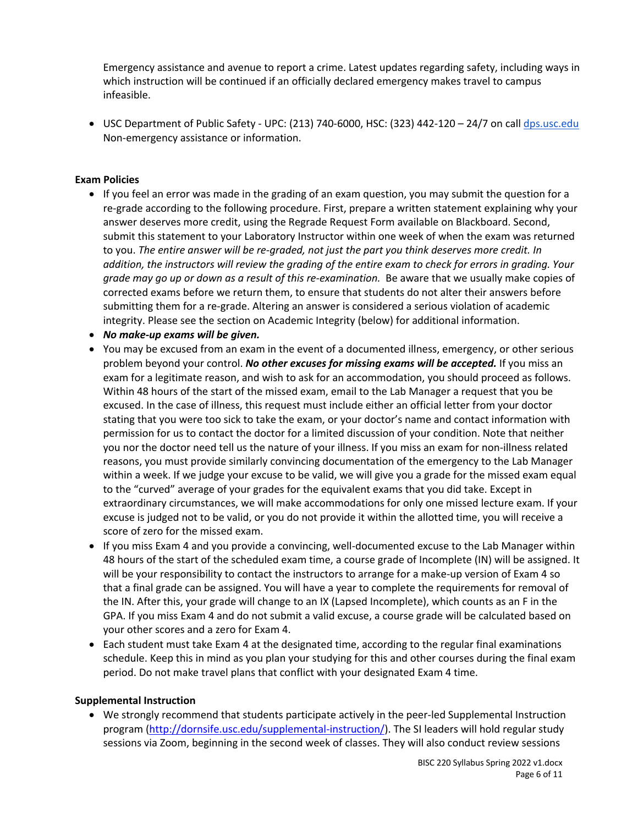Emergency assistance and avenue to report a crime. Latest updates regarding safety, including ways in which instruction will be continued if an officially declared emergency makes travel to campus infeasible.

• USC Department of Public Safety - UPC: (213) 740-6000, HSC: (323) 442-120 – 24/7 on call dps.usc.edu Non-emergency assistance or information.

# **Exam Policies**

- If you feel an error was made in the grading of an exam question, you may submit the question for a re-grade according to the following procedure. First, prepare a written statement explaining why your answer deserves more credit, using the Regrade Request Form available on Blackboard. Second, submit this statement to your Laboratory Instructor within one week of when the exam was returned to you. *The entire answer will be re-graded, not just the part you think deserves more credit. In addition, the instructors will review the grading of the entire exam to check for errors in grading. Your grade may go up or down as a result of this re-examination.* Be aware that we usually make copies of corrected exams before we return them, to ensure that students do not alter their answers before submitting them for a re-grade. Altering an answer is considered a serious violation of academic integrity. Please see the section on Academic Integrity (below) for additional information.
- *No make-up exams will be given.*
- You may be excused from an exam in the event of a documented illness, emergency, or other serious problem beyond your control. *No other excuses for missing exams will be accepted.* If you miss an exam for a legitimate reason, and wish to ask for an accommodation, you should proceed as follows. Within 48 hours of the start of the missed exam, email to the Lab Manager a request that you be excused. In the case of illness, this request must include either an official letter from your doctor stating that you were too sick to take the exam, or your doctor's name and contact information with permission for us to contact the doctor for a limited discussion of your condition. Note that neither you nor the doctor need tell us the nature of your illness. If you miss an exam for non-illness related reasons, you must provide similarly convincing documentation of the emergency to the Lab Manager within a week. If we judge your excuse to be valid, we will give you a grade for the missed exam equal to the "curved" average of your grades for the equivalent exams that you did take. Except in extraordinary circumstances, we will make accommodations for only one missed lecture exam. If your excuse is judged not to be valid, or you do not provide it within the allotted time, you will receive a score of zero for the missed exam.
- If you miss Exam 4 and you provide a convincing, well-documented excuse to the Lab Manager within 48 hours of the start of the scheduled exam time, a course grade of Incomplete (IN) will be assigned. It will be your responsibility to contact the instructors to arrange for a make-up version of Exam 4 so that a final grade can be assigned. You will have a year to complete the requirements for removal of the IN. After this, your grade will change to an IX (Lapsed Incomplete), which counts as an F in the GPA. If you miss Exam 4 and do not submit a valid excuse, a course grade will be calculated based on your other scores and a zero for Exam 4.
- Each student must take Exam 4 at the designated time, according to the regular final examinations schedule. Keep this in mind as you plan your studying for this and other courses during the final exam period. Do not make travel plans that conflict with your designated Exam 4 time.

# **Supplemental Instruction**

• We strongly recommend that students participate actively in the peer-led Supplemental Instruction program (http://dornsife.usc.edu/supplemental-instruction/). The SI leaders will hold regular study sessions via Zoom, beginning in the second week of classes. They will also conduct review sessions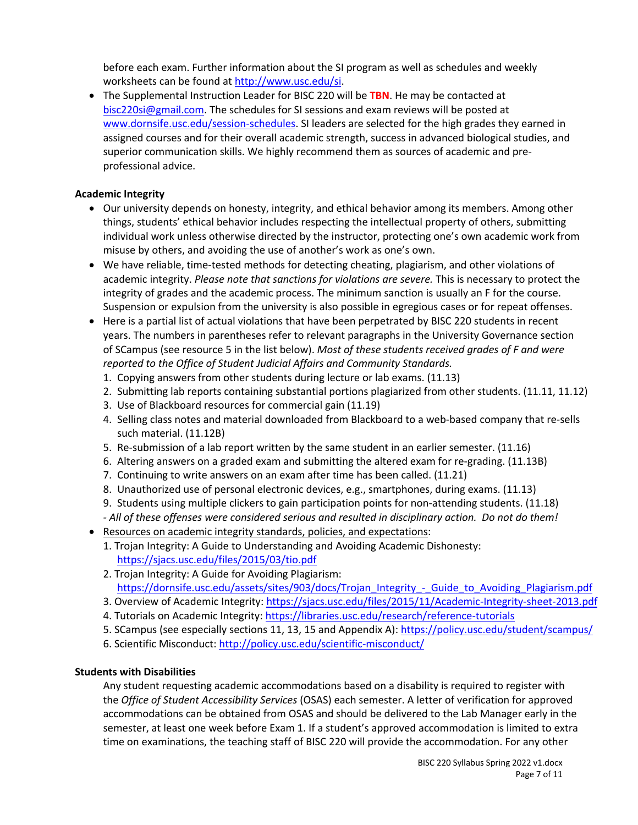before each exam. Further information about the SI program as well as schedules and weekly worksheets can be found at http://www.usc.edu/si.

• The Supplemental Instruction Leader for BISC 220 will be **TBN**. He may be contacted at bisc220si@gmail.com. The schedules for SI sessions and exam reviews will be posted at www.dornsife.usc.edu/session-schedules. SI leaders are selected for the high grades they earned in assigned courses and for their overall academic strength, success in advanced biological studies, and superior communication skills. We highly recommend them as sources of academic and preprofessional advice.

# **Academic Integrity**

- Our university depends on honesty, integrity, and ethical behavior among its members. Among other things, students' ethical behavior includes respecting the intellectual property of others, submitting individual work unless otherwise directed by the instructor, protecting one's own academic work from misuse by others, and avoiding the use of another's work as one's own.
- We have reliable, time-tested methods for detecting cheating, plagiarism, and other violations of academic integrity. *Please note that sanctions for violations are severe.* This is necessary to protect the integrity of grades and the academic process. The minimum sanction is usually an F for the course. Suspension or expulsion from the university is also possible in egregious cases or for repeat offenses.
- Here is a partial list of actual violations that have been perpetrated by BISC 220 students in recent years. The numbers in parentheses refer to relevant paragraphs in the University Governance section of SCampus (see resource 5 in the list below). *Most of these students received grades of F and were reported to the Office of Student Judicial Affairs and Community Standards.*
	- 1. Copying answers from other students during lecture or lab exams. (11.13)
	- 2. Submitting lab reports containing substantial portions plagiarized from other students. (11.11, 11.12)
	- 3. Use of Blackboard resources for commercial gain (11.19)
	- 4. Selling class notes and material downloaded from Blackboard to a web-based company that re-sells such material. (11.12B)
	- 5. Re-submission of a lab report written by the same student in an earlier semester. (11.16)
	- 6. Altering answers on a graded exam and submitting the altered exam for re-grading. (11.13B)
	- 7. Continuing to write answers on an exam after time has been called. (11.21)
	- 8. Unauthorized use of personal electronic devices, e.g., smartphones, during exams. (11.13)
	- 9. Students using multiple clickers to gain participation points for non-attending students. (11.18)
- *- All of these offenses were considered serious and resulted in disciplinary action. Do not do them!* • Resources on academic integrity standards, policies, and expectations:
	- 1. Trojan Integrity: A Guide to Understanding and Avoiding Academic Dishonesty: https://sjacs.usc.edu/files/2015/03/tio.pdf
	- 2. Trojan Integrity: A Guide for Avoiding Plagiarism: https://dornsife.usc.edu/assets/sites/903/docs/Trojan\_Integrity\_-\_Guide\_to\_Avoiding\_Plagiarism.pdf
	- 3. Overview of Academic Integrity: https://sjacs.usc.edu/files/2015/11/Academic-Integrity-sheet-2013.pdf
	- 4. Tutorials on Academic Integrity: https://libraries.usc.edu/research/reference-tutorials
	- 5. SCampus (see especially sections 11, 13, 15 and Appendix A): https://policy.usc.edu/student/scampus/
	- 6. Scientific Misconduct: http://policy.usc.edu/scientific-misconduct/

# **Students with Disabilities**

Any student requesting academic accommodations based on a disability is required to register with the *Office of Student Accessibility Services* (OSAS) each semester. A letter of verification for approved accommodations can be obtained from OSAS and should be delivered to the Lab Manager early in the semester, at least one week before Exam 1. If a student's approved accommodation is limited to extra time on examinations, the teaching staff of BISC 220 will provide the accommodation. For any other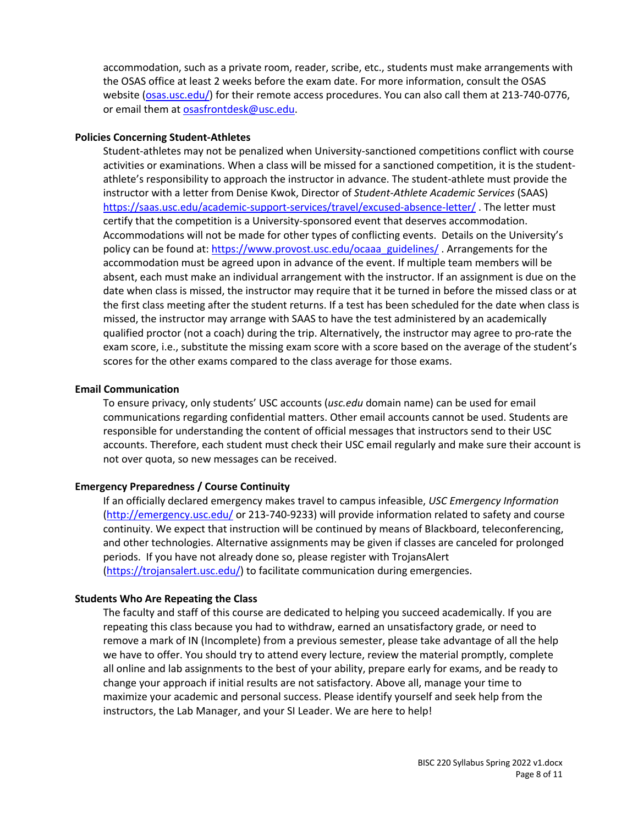accommodation, such as a private room, reader, scribe, etc., students must make arrangements with the OSAS office at least 2 weeks before the exam date. For more information, consult the OSAS website (osas.usc.edu/) for their remote access procedures. You can also call them at 213-740-0776, or email them at osasfrontdesk@usc.edu.

#### **Policies Concerning Student-Athletes**

Student-athletes may not be penalized when University-sanctioned competitions conflict with course activities or examinations. When a class will be missed for a sanctioned competition, it is the studentathlete's responsibility to approach the instructor in advance. The student-athlete must provide the instructor with a letter from Denise Kwok, Director of *Student-Athlete Academic Services* (SAAS) https://saas.usc.edu/academic-support-services/travel/excused-absence-letter/ . The letter must certify that the competition is a University-sponsored event that deserves accommodation. Accommodations will not be made for other types of conflicting events. Details on the University's policy can be found at: https://www.provost.usc.edu/ocaaa\_guidelines/ . Arrangements for the accommodation must be agreed upon in advance of the event. If multiple team members will be absent, each must make an individual arrangement with the instructor. If an assignment is due on the date when class is missed, the instructor may require that it be turned in before the missed class or at the first class meeting after the student returns. If a test has been scheduled for the date when class is missed, the instructor may arrange with SAAS to have the test administered by an academically qualified proctor (not a coach) during the trip. Alternatively, the instructor may agree to pro-rate the exam score, i.e., substitute the missing exam score with a score based on the average of the student's scores for the other exams compared to the class average for those exams.

#### **Email Communication**

To ensure privacy, only students' USC accounts (*usc.edu* domain name) can be used for email communications regarding confidential matters. Other email accounts cannot be used. Students are responsible for understanding the content of official messages that instructors send to their USC accounts. Therefore, each student must check their USC email regularly and make sure their account is not over quota, so new messages can be received.

#### **Emergency Preparedness / Course Continuity**

If an officially declared emergency makes travel to campus infeasible, *USC Emergency Information* (http://emergency.usc.edu/ or 213-740-9233) will provide information related to safety and course continuity. We expect that instruction will be continued by means of Blackboard, teleconferencing, and other technologies. Alternative assignments may be given if classes are canceled for prolonged periods. If you have not already done so, please register with TrojansAlert (https://trojansalert.usc.edu/) to facilitate communication during emergencies.

#### **Students Who Are Repeating the Class**

The faculty and staff of this course are dedicated to helping you succeed academically. If you are repeating this class because you had to withdraw, earned an unsatisfactory grade, or need to remove a mark of IN (Incomplete) from a previous semester, please take advantage of all the help we have to offer. You should try to attend every lecture, review the material promptly, complete all online and lab assignments to the best of your ability, prepare early for exams, and be ready to change your approach if initial results are not satisfactory. Above all, manage your time to maximize your academic and personal success. Please identify yourself and seek help from the instructors, the Lab Manager, and your SI Leader. We are here to help!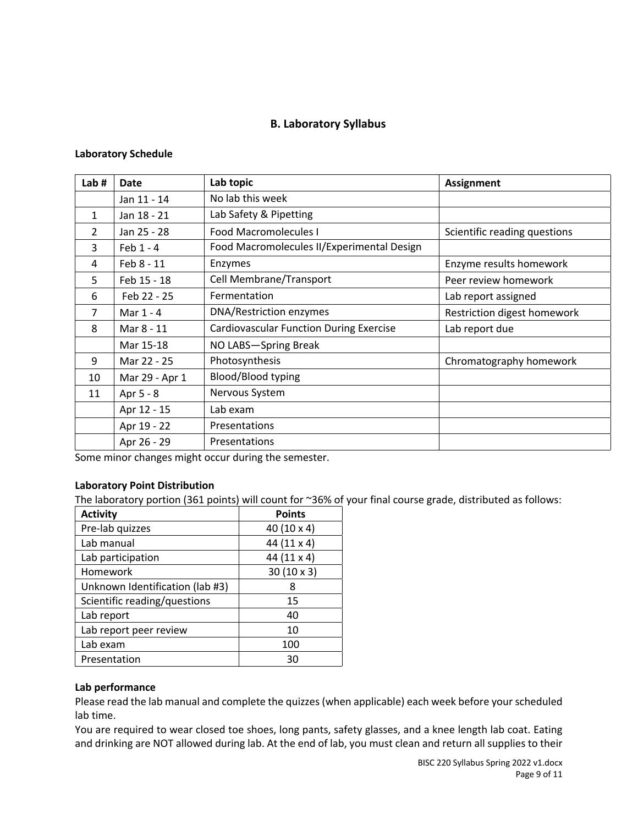# **B. Laboratory Syllabus**

# **Laboratory Schedule**

| Lab#          | <b>Date</b>    | Lab topic                                      | <b>Assignment</b>            |
|---------------|----------------|------------------------------------------------|------------------------------|
|               | Jan 11 - 14    | No lab this week                               |                              |
| 1             | Jan 18 - 21    | Lab Safety & Pipetting                         |                              |
| $\mathcal{P}$ | Jan 25 - 28    | <b>Food Macromolecules I</b>                   | Scientific reading questions |
| 3             | Feb $1 - 4$    | Food Macromolecules II/Experimental Design     |                              |
| 4             | Feb 8 - 11     | Enzymes                                        | Enzyme results homework      |
| 5             | Feb 15 - 18    | Cell Membrane/Transport                        | Peer review homework         |
| 6             | Feb 22 - 25    | Fermentation                                   | Lab report assigned          |
| 7             | Mar 1 - 4      | DNA/Restriction enzymes                        | Restriction digest homework  |
| 8             | Mar 8 - 11     | <b>Cardiovascular Function During Exercise</b> | Lab report due               |
|               | Mar 15-18      | NO LABS-Spring Break                           |                              |
| 9             | Mar 22 - 25    | Photosynthesis                                 | Chromatography homework      |
| 10            | Mar 29 - Apr 1 | Blood/Blood typing                             |                              |
| 11            | Apr 5 - 8      | Nervous System                                 |                              |
|               | Apr 12 - 15    | Lab exam                                       |                              |
|               | Apr 19 - 22    | Presentations                                  |                              |
|               | Apr 26 - 29    | Presentations                                  |                              |

Some minor changes might occur during the semester.

# **Laboratory Point Distribution**

The laboratory portion (361 points) will count for ~36% of your final course grade, distributed as follows:

| <b>Activity</b>                 | <b>Points</b>     |
|---------------------------------|-------------------|
| Pre-lab quizzes                 | 40 (10 x 4)       |
| Lab manual                      | 44 (11 x 4)       |
| Lab participation               | 44 (11 x 4)       |
| Homework                        | $30(10 \times 3)$ |
| Unknown Identification (lab #3) | 8                 |
| Scientific reading/questions    | 15                |
| Lab report                      | 40                |
| Lab report peer review          | 10                |
| Lab exam                        | 100               |
| Presentation                    | 30                |

# **Lab performance**

Please read the lab manual and complete the quizzes (when applicable) each week before your scheduled lab time.

You are required to wear closed toe shoes, long pants, safety glasses, and a knee length lab coat. Eating and drinking are NOT allowed during lab. At the end of lab, you must clean and return all supplies to their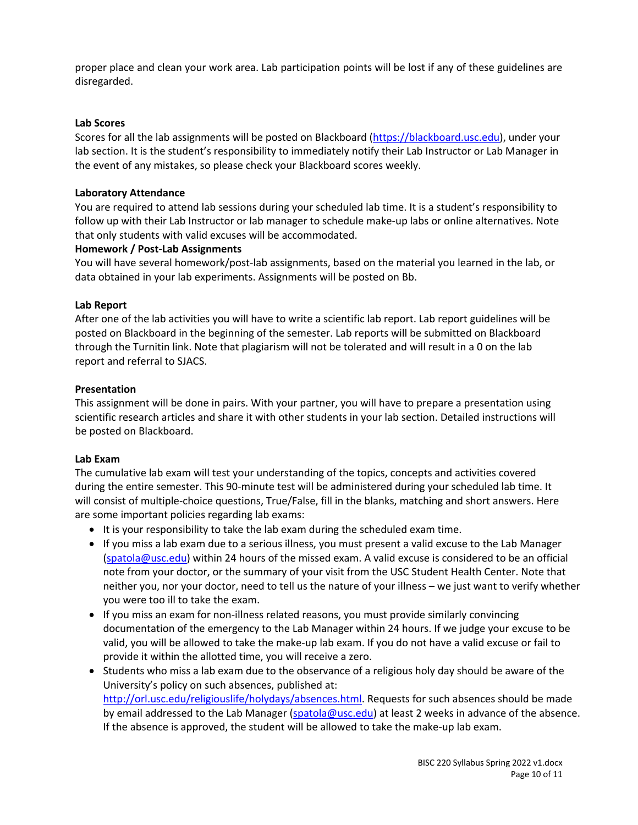proper place and clean your work area. Lab participation points will be lost if any of these guidelines are disregarded.

# **Lab Scores**

Scores for all the lab assignments will be posted on Blackboard (https://blackboard.usc.edu), under your lab section. It is the student's responsibility to immediately notify their Lab Instructor or Lab Manager in the event of any mistakes, so please check your Blackboard scores weekly.

### **Laboratory Attendance**

You are required to attend lab sessions during your scheduled lab time. It is a student's responsibility to follow up with their Lab Instructor or lab manager to schedule make-up labs or online alternatives. Note that only students with valid excuses will be accommodated.

### **Homework / Post-Lab Assignments**

You will have several homework/post-lab assignments, based on the material you learned in the lab, or data obtained in your lab experiments. Assignments will be posted on Bb.

### **Lab Report**

After one of the lab activities you will have to write a scientific lab report. Lab report guidelines will be posted on Blackboard in the beginning of the semester. Lab reports will be submitted on Blackboard through the Turnitin link. Note that plagiarism will not be tolerated and will result in a 0 on the lab report and referral to SJACS.

# **Presentation**

This assignment will be done in pairs. With your partner, you will have to prepare a presentation using scientific research articles and share it with other students in your lab section. Detailed instructions will be posted on Blackboard.

# **Lab Exam**

The cumulative lab exam will test your understanding of the topics, concepts and activities covered during the entire semester. This 90-minute test will be administered during your scheduled lab time. It will consist of multiple-choice questions, True/False, fill in the blanks, matching and short answers. Here are some important policies regarding lab exams:

- It is your responsibility to take the lab exam during the scheduled exam time.
- If you miss a lab exam due to a serious illness, you must present a valid excuse to the Lab Manager (spatola@usc.edu) within 24 hours of the missed exam. A valid excuse is considered to be an official note from your doctor, or the summary of your visit from the USC Student Health Center. Note that neither you, nor your doctor, need to tell us the nature of your illness – we just want to verify whether you were too ill to take the exam.
- If you miss an exam for non-illness related reasons, you must provide similarly convincing documentation of the emergency to the Lab Manager within 24 hours. If we judge your excuse to be valid, you will be allowed to take the make-up lab exam. If you do not have a valid excuse or fail to provide it within the allotted time, you will receive a zero.
- Students who miss a lab exam due to the observance of a religious holy day should be aware of the University's policy on such absences, published at: http://orl.usc.edu/religiouslife/holydays/absences.html. Requests for such absences should be made by email addressed to the Lab Manager (spatola@usc.edu) at least 2 weeks in advance of the absence. If the absence is approved, the student will be allowed to take the make-up lab exam.